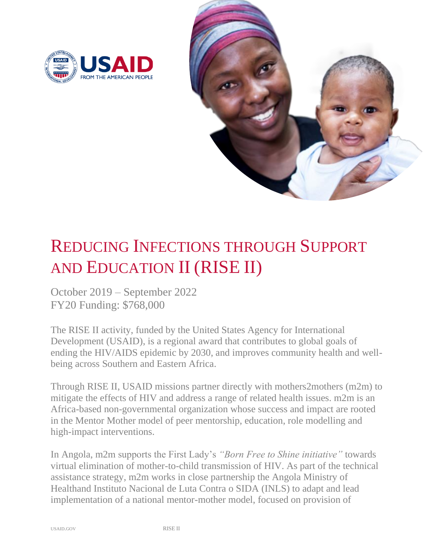



## REDUCING INFECTIONS THROUGH SUPPORT AND EDUCATION II (RISE II)

October 2019 – September 2022 FY20 Funding: \$768,000

The RISE II activity, funded by the United States Agency for International Development (USAID), is a regional award that contributes to global goals of ending the HIV/AIDS epidemic by 2030, and improves community health and wellbeing across Southern and Eastern Africa.

Through RISE II, USAID missions partner directly with mothers2mothers (m2m) to mitigate the effects of HIV and address a range of related health issues. m2m is an Africa-based non-governmental organization whose success and impact are rooted in the Mentor Mother model of peer mentorship, education, role modelling and high-impact interventions.

In Angola, m2m supports the First Lady's *"Born Free to Shine initiative"* towards virtual elimination of mother-to-child transmission of HIV. As part of the technical assistance strategy, m2m works in close partnership the Angola Ministry of Healthand Instituto Nacional de Luta Contra o SIDA (INLS) to adapt and lead implementation of a national mentor-mother model, focused on provision of